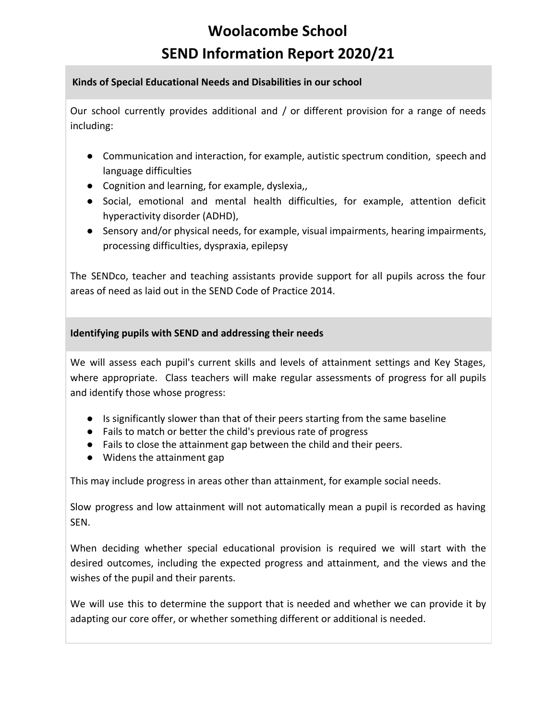# **Woolacombe School SEND Information Report 2020/21**

#### **Kinds of Special Educational Needs and Disabilities in our school**

Our school currently provides additional and / or different provision for a range of needs including:

- Communication and interaction, for example, autistic spectrum condition, speech and language difficulties
- Cognition and learning, for example, dyslexia,
- Social, emotional and mental health difficulties, for example, attention deficit hyperactivity disorder (ADHD),
- Sensory and/or physical needs, for example, visual impairments, hearing impairments, processing difficulties, dyspraxia, epilepsy

The SENDco, teacher and teaching assistants provide support for all pupils across the four areas of need as laid out in the SEND Code of Practice 2014.

# **Identifying pupils with SEND and addressing their needs**

We will assess each pupil's current skills and levels of attainment settings and Key Stages, where appropriate. Class teachers will make regular assessments of progress for all pupils and identify those whose progress:

- Is significantly slower than that of their peers starting from the same baseline
- Fails to match or better the child's previous rate of progress
- Fails to close the attainment gap between the child and their peers.
- Widens the attainment gap

This may include progress in areas other than attainment, for example social needs.

Slow progress and low attainment will not automatically mean a pupil is recorded as having SEN.

When deciding whether special educational provision is required we will start with the desired outcomes, including the expected progress and attainment, and the views and the wishes of the pupil and their parents.

We will use this to determine the support that is needed and whether we can provide it by adapting our core offer, or whether something different or additional is needed.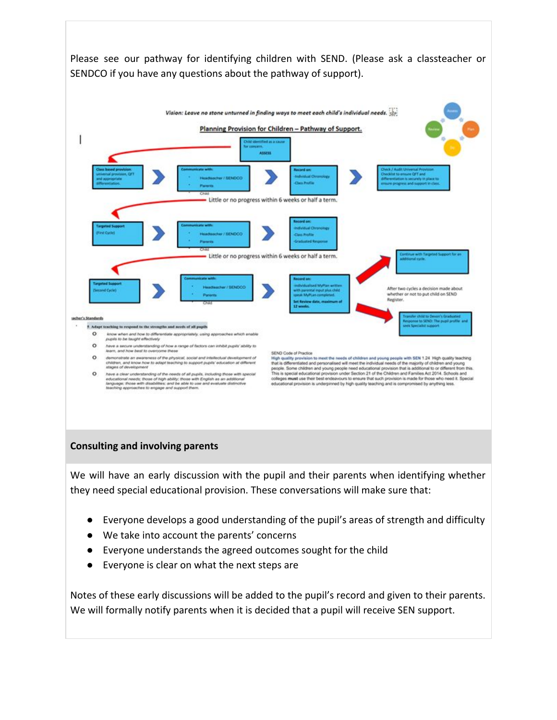

#### **Consulting and involving parents**

We will have an early discussion with the pupil and their parents when identifying whether they need special educational provision. These conversations will make sure that:

- Everyone develops a good understanding of the pupil's areas of strength and difficulty
- We take into account the parents' concerns
- Everyone understands the agreed outcomes sought for the child
- Everyone is clear on what the next steps are

Notes of these early discussions will be added to the pupil's record and given to their parents. We will formally notify parents when it is decided that a pupil will receive SEN support.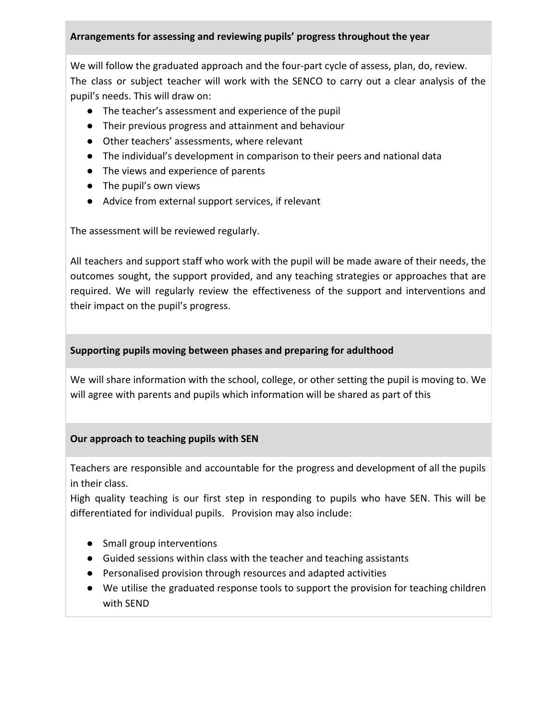# **Arrangements for assessing and reviewing pupils' progress throughout the year**

We will follow the graduated approach and the four-part cycle of assess, plan, do, review. The class or subject teacher will work with the SENCO to carry out a clear analysis of the pupil's needs. This will draw on:

- The teacher's assessment and experience of the pupil
- Their previous progress and attainment and behaviour
- Other teachers' assessments, where relevant
- The individual's development in comparison to their peers and national data
- The views and experience of parents
- The pupil's own views
- Advice from external support services, if relevant

The assessment will be reviewed regularly.

All teachers and support staff who work with the pupil will be made aware of their needs, the outcomes sought, the support provided, and any teaching strategies or approaches that are required. We will regularly review the effectiveness of the support and interventions and their impact on the pupil's progress.

# **Supporting pupils moving between phases and preparing for adulthood**

We will share information with the school, college, or other setting the pupil is moving to. We will agree with parents and pupils which information will be shared as part of this

# **Our approach to teaching pupils with SEN**

Teachers are responsible and accountable for the progress and development of all the pupils in their class.

High quality teaching is our first step in responding to pupils who have SEN. This will be differentiated for individual pupils. Provision may also include:

- Small group interventions
- Guided sessions within class with the teacher and teaching assistants
- Personalised provision through resources and adapted activities
- We utilise the graduated response tools to support the provision for teaching children with SEND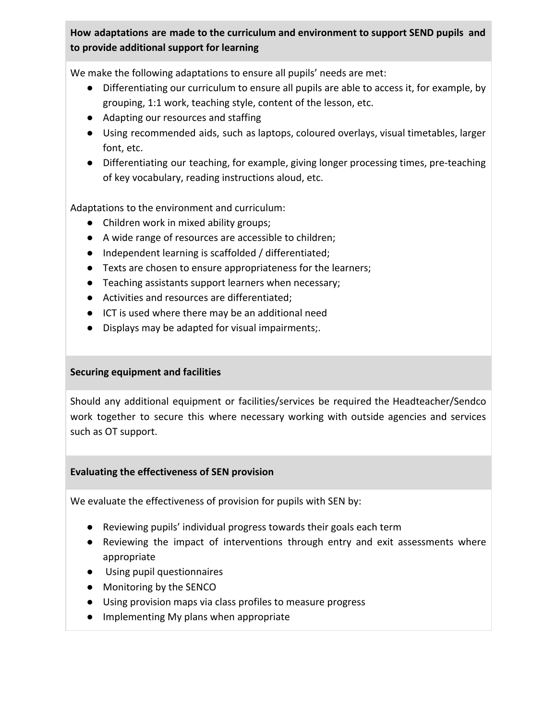# **How adaptations are made to the curriculum and environment to support SEND pupils and to provide additional support for learning**

We make the following adaptations to ensure all pupils' needs are met:

- Differentiating our curriculum to ensure all pupils are able to access it, for example, by grouping, 1:1 work, teaching style, content of the lesson, etc.
- Adapting our resources and staffing
- Using recommended aids, such as laptops, coloured overlays, visual timetables, larger font, etc.
- Differentiating our teaching, for example, giving longer processing times, pre-teaching of key vocabulary, reading instructions aloud, etc.

Adaptations to the environment and curriculum:

- Children work in mixed ability groups;
- A wide range of resources are accessible to children;
- Independent learning is scaffolded / differentiated;
- Texts are chosen to ensure appropriateness for the learners;
- Teaching assistants support learners when necessary;
- Activities and resources are differentiated;
- ICT is used where there may be an additional need
- Displays may be adapted for visual impairments;.

# **Securing equipment and facilities**

Should any additional equipment or facilities/services be required the Headteacher/Sendco work together to secure this where necessary working with outside agencies and services such as OT support.

#### **Evaluating the effectiveness of SEN provision**

We evaluate the effectiveness of provision for pupils with SEN by:

- Reviewing pupils' individual progress towards their goals each term
- Reviewing the impact of interventions through entry and exit assessments where appropriate
- Using pupil questionnaires
- Monitoring by the SENCO
- Using provision maps via class profiles to measure progress
- Implementing My plans when appropriate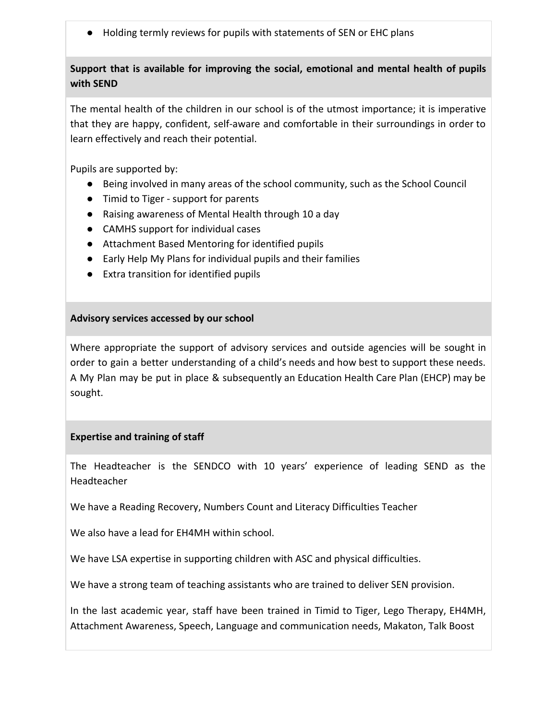● Holding termly reviews for pupils with statements of SEN or EHC plans

# **Support that is available for improving the social, emotional and mental health of pupils with SEND**

The mental health of the children in our school is of the utmost importance; it is imperative that they are happy, confident, self-aware and comfortable in their surroundings in order to learn effectively and reach their potential.

Pupils are supported by:

- Being involved in many areas of the school community, such as the School Council
- Timid to Tiger support for parents
- Raising awareness of Mental Health through 10 a day
- CAMHS support for individual cases
- Attachment Based Mentoring for identified pupils
- Early Help My Plans for individual pupils and their families
- Extra transition for identified pupils

#### **Advisory services accessed by our school**

Where appropriate the support of advisory services and outside agencies will be sought in order to gain a better understanding of a child's needs and how best to support these needs. A My Plan may be put in place & subsequently an Education Health Care Plan (EHCP) may be sought.

# **Expertise and training of staff**

The Headteacher is the SENDCO with 10 years' experience of leading SEND as the Headteacher

We have a Reading Recovery, Numbers Count and Literacy Difficulties Teacher

We also have a lead for EH4MH within school.

We have LSA expertise in supporting children with ASC and physical difficulties.

We have a strong team of teaching assistants who are trained to deliver SEN provision.

In the last academic year, staff have been trained in Timid to Tiger, Lego Therapy, EH4MH, Attachment Awareness, Speech, Language and communication needs, Makaton, Talk Boost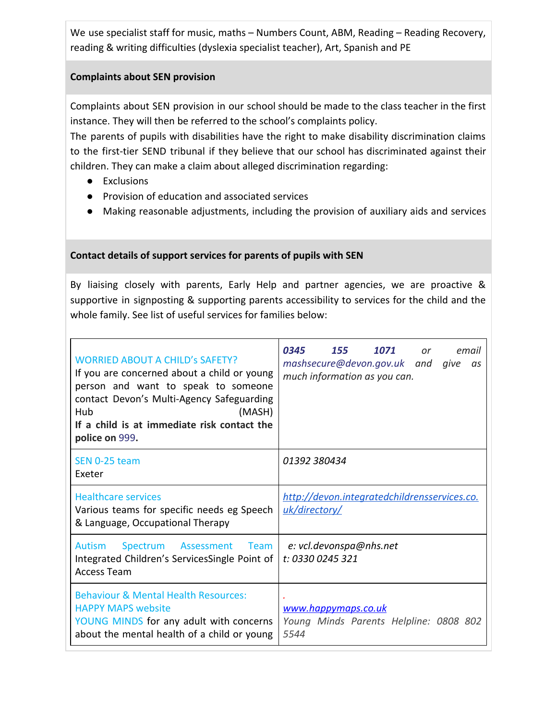We use specialist staff for music, maths – Numbers Count, ABM, Reading – Reading Recovery, reading & writing difficulties (dyslexia specialist teacher), Art, Spanish and PE

#### **Complaints about SEN provision**

Complaints about SEN provision in our school should be made to the class teacher in the first instance. They will then be referred to the school's complaints policy.

The parents of pupils with disabilities have the right to make disability discrimination claims to the first-tier SEND tribunal if they believe that our school has discriminated against their children. They can make a claim about alleged discrimination regarding:

- Exclusions
- Provision of education and associated services
- Making reasonable adjustments, including the provision of auxiliary aids and services

# **Contact details of support services for parents of pupils with SEN**

By liaising closely with parents, Early Help and partner agencies, we are proactive & supportive in signposting & supporting parents accessibility to services for the child and the whole family. See list of useful services for families below:

| <b>WORRIED ABOUT A CHILD'S SAFETY?</b><br>If you are concerned about a child or young<br>person and want to speak to someone<br>contact Devon's Multi-Agency Safeguarding<br>Hub<br>(MASH)<br>If a child is at immediate risk contact the<br>police on 999. | 0345<br>155<br>1071<br>email<br>or<br>mashsecure@devon.gov.uk and give<br>as<br>much information as you can. |
|-------------------------------------------------------------------------------------------------------------------------------------------------------------------------------------------------------------------------------------------------------------|--------------------------------------------------------------------------------------------------------------|
| SEN 0-25 team<br><b>Fxeter</b>                                                                                                                                                                                                                              | 01392 380434                                                                                                 |
| <b>Healthcare services</b><br>Various teams for specific needs eg Speech<br>& Language, Occupational Therapy                                                                                                                                                | http://devon.integratedchildrensservices.co.<br>uk/directory/                                                |
| Spectrum Assessment<br><b>Autism</b><br><b>Team</b><br>Integrated Children's ServicesSingle Point of<br><b>Access Team</b>                                                                                                                                  | e: vcl.devonspa@nhs.net<br>t: 0330 0245 321                                                                  |
| <b>Behaviour &amp; Mental Health Resources:</b><br><b>HAPPY MAPS website</b><br>YOUNG MINDS for any adult with concerns<br>about the mental health of a child or young                                                                                      | www.happymaps.co.uk<br>Young Minds Parents Helpline: 0808 802<br>5544                                        |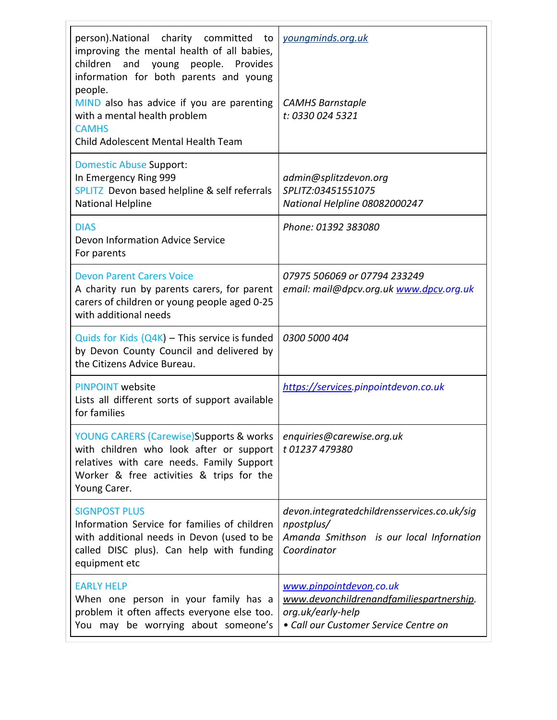| person).National charity committed to<br>improving the mental health of all babies,<br>children and young people. Provides<br>information for both parents and young<br>people.              | youngminds.org.uk                                                                                                                 |
|----------------------------------------------------------------------------------------------------------------------------------------------------------------------------------------------|-----------------------------------------------------------------------------------------------------------------------------------|
| MIND also has advice if you are parenting<br>with a mental health problem<br><b>CAMHS</b><br>Child Adolescent Mental Health Team                                                             | <b>CAMHS Barnstaple</b><br>t: 0330 024 5321                                                                                       |
| <b>Domestic Abuse Support:</b><br>In Emergency Ring 999<br>SPLITZ Devon based helpline & self referrals<br>National Helpline                                                                 | admin@splitzdevon.org<br>SPLITZ:03451551075<br>National Helpline 08082000247                                                      |
| <b>DIAS</b><br>Devon Information Advice Service<br>For parents                                                                                                                               | Phone: 01392 383080                                                                                                               |
| <b>Devon Parent Carers Voice</b><br>A charity run by parents carers, for parent<br>carers of children or young people aged 0-25<br>with additional needs                                     | 07975 506069 or 07794 233249<br>email: mail@dpcv.org.uk www.dpcv.org.uk                                                           |
| Quids for Kids $(Q4K)$ – This service is funded<br>by Devon County Council and delivered by<br>the Citizens Advice Bureau.                                                                   | 0300 5000 404                                                                                                                     |
| <b>PINPOINT website</b><br>Lists all different sorts of support available<br>for families                                                                                                    | https://services.pinpointdevon.co.uk                                                                                              |
| YOUNG CARERS (Carewise) Supports & works<br>with children who look after or support<br>relatives with care needs. Family Support<br>Worker & free activities & trips for the<br>Young Carer. | enquiries@carewise.org.uk<br>t 01237 479380                                                                                       |
| <b>SIGNPOST PLUS</b><br>Information Service for families of children<br>with additional needs in Devon (used to be<br>called DISC plus). Can help with funding<br>equipment etc              | devon.integratedchildrensservices.co.uk/sig<br>npostplus/<br>Amanda Smithson is our local Infornation<br>Coordinator              |
| <b>EARLY HELP</b><br>When one person in your family has a<br>problem it often affects everyone else too.<br>You may be worrying about someone's                                              | www.pinpointdevon.co.uk<br>www.devonchildrenandfamiliespartnership.<br>org.uk/early-help<br>• Call our Customer Service Centre on |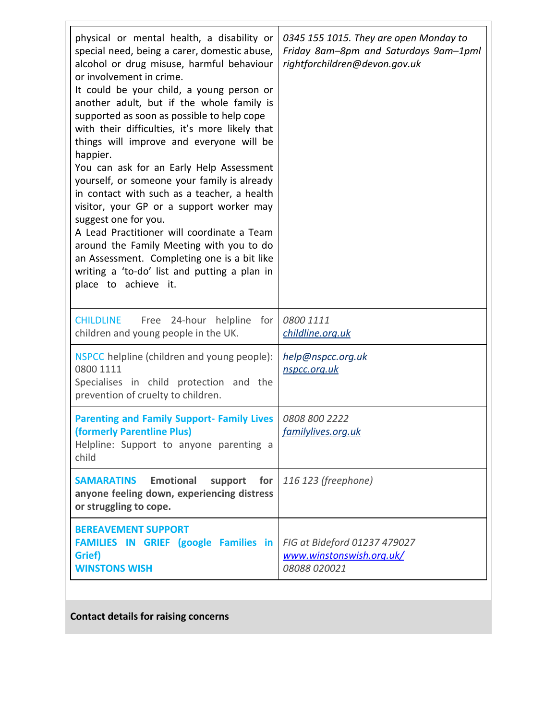| physical or mental health, a disability or<br>special need, being a carer, domestic abuse,<br>alcohol or drug misuse, harmful behaviour<br>or involvement in crime.<br>It could be your child, a young person or<br>another adult, but if the whole family is<br>supported as soon as possible to help cope<br>with their difficulties, it's more likely that<br>things will improve and everyone will be<br>happier.<br>You can ask for an Early Help Assessment<br>yourself, or someone your family is already<br>in contact with such as a teacher, a health<br>visitor, your GP or a support worker may<br>suggest one for you.<br>A Lead Practitioner will coordinate a Team<br>around the Family Meeting with you to do<br>an Assessment. Completing one is a bit like<br>writing a 'to-do' list and putting a plan in<br>place to achieve it. | 0345 155 1015. They are open Monday to<br>Friday 8am-8pm and Saturdays 9am-1pml<br>rightforchildren@devon.gov.uk |
|------------------------------------------------------------------------------------------------------------------------------------------------------------------------------------------------------------------------------------------------------------------------------------------------------------------------------------------------------------------------------------------------------------------------------------------------------------------------------------------------------------------------------------------------------------------------------------------------------------------------------------------------------------------------------------------------------------------------------------------------------------------------------------------------------------------------------------------------------|------------------------------------------------------------------------------------------------------------------|
| Free 24-hour helpline for<br><b>CHILDLINE</b><br>children and young people in the UK.                                                                                                                                                                                                                                                                                                                                                                                                                                                                                                                                                                                                                                                                                                                                                                | 0800 1111<br>childline.org.uk                                                                                    |
| NSPCC helpline (children and young people):<br>0800 1111<br>Specialises in child protection and the<br>prevention of cruelty to children.                                                                                                                                                                                                                                                                                                                                                                                                                                                                                                                                                                                                                                                                                                            | help@nspcc.org.uk<br>nspcc.org.uk                                                                                |
| <b>Parenting and Family Support- Family Lives</b><br>(formerly Parentline Plus)<br>Helpline: Support to anyone parenting a<br>child                                                                                                                                                                                                                                                                                                                                                                                                                                                                                                                                                                                                                                                                                                                  | 0808 800 2222<br>familylives.org.uk                                                                              |
| <b>Emotional</b><br><b>SAMARATINS</b><br>support<br>for<br>anyone feeling down, experiencing distress<br>or struggling to cope.                                                                                                                                                                                                                                                                                                                                                                                                                                                                                                                                                                                                                                                                                                                      | 116 123 (freephone)                                                                                              |
| <b>BEREAVEMENT SUPPORT</b><br>FAMILIES IN GRIEF (google Families in<br>Grief)<br><b>WINSTONS WISH</b>                                                                                                                                                                                                                                                                                                                                                                                                                                                                                                                                                                                                                                                                                                                                                | FIG at Bideford 01237 479027<br>www.winstonswish.org.uk/<br>08088 020021                                         |

**Contact details for raising concerns**